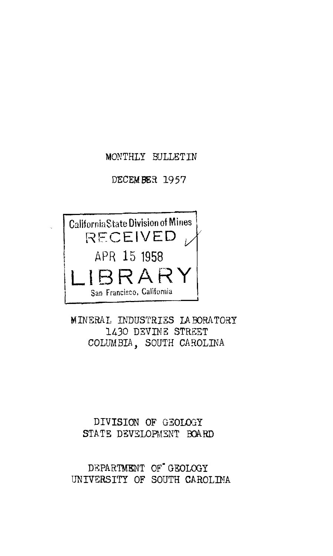# MONTHLY BULLETIN

#### DECEMBER 1957



MINERAL INDUSTRIES LABORATORY 1430 DEVINE STREET COLUMBIA, SOUTH CAROLINA

## DIVISION OF GEOL03Y STATE DEVELOPMENT BOARD

DEPARTMENT OF<sup>\*</sup> GEOLOGY UNIVERSITY OF SOUTH CAROLIMA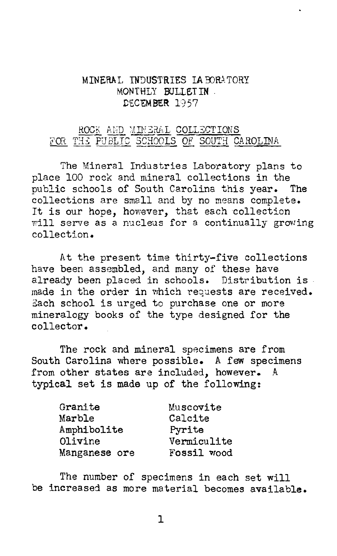### MINERAL INDUSTRIES LA BORATORY MONTHLY BULLETIN. DECEMBER 1957

# ROCK AMD MINERAL COLLECTIONS FOR THE PUBLIC SCHOOLS OF SOUTH CAROLINA

The Mineral Industries Laboratory plans to place 100 rock and mineral collections in the public schools of South Carolina this year. The collections are small and by no means complete. collections are small and by no means complete will serve as a nucleus for a continually growing collection.

At the present time thirty-five collections have been assembled, and many of these have already been placed in schools. Distribution is . made in the order in which requests are received. Each school is urged to purchase one or more mineralogy books of the type designed for the collector.

The rock and mineral specimens are from South Carolina where possible. A few specimens from other states are included, however. A typical set is made up of the following:

| Granite       | Muscovite   |
|---------------|-------------|
| Marble        | Calcite     |
| Amphibolite   | Pyrite      |
| Olivine       | Vermiculite |
| Manganese ore | Fossil wood |

The number of specimens in each set will be increased as more material becomes available.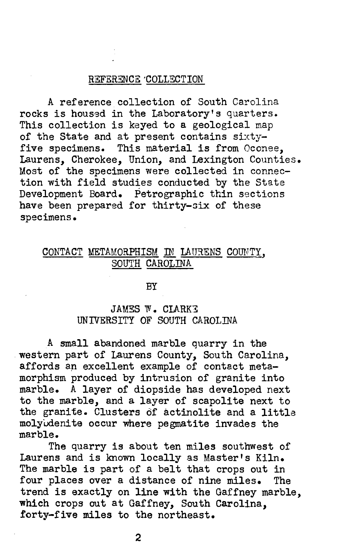### REFERENCE 'COLLECTION

A reference collection of South Carolina rocks is housed in the Laboratory's quarters. This collection is keyed to a geological map of the State and at present contains  $sixty$ five specimens. This material is from Oconee, Laurens, Cherokee, Union, and Lexington Counties. Most of the specimens were collected in connection with field studies conducted by the State Development Board. Petrographic thin sections have been prepared for thirty-six of these specimens.

# CONTACT METAMORPHISM IN LAURENS COUNTY, SOUTH CAROLINA

**BY** 

## JAMES W. CLARKE UNIVERSITY OF SOUTH CAROLINA

A small abandoned marble quarry in the western part of Laurens County, South Carolina, affords an excellent example of contact metamorphism produced by intrusion of granite into marble. A layer of diopside has developed next to the marble, and a layer of scapolite next to the granite. Clusters of actinolite and a little molyudenite occur where pegmatite invades the marble.

The quarry is about ten miles southwest of Laurens and is known locally as Master's Kiln. The marble is part of a belt that crops out in four places over a distance of nine miles. The trend is exactly on line with the Gaffney marble, which crops out at Gaffney, South Carolina, forty-five miles to the northeast.

2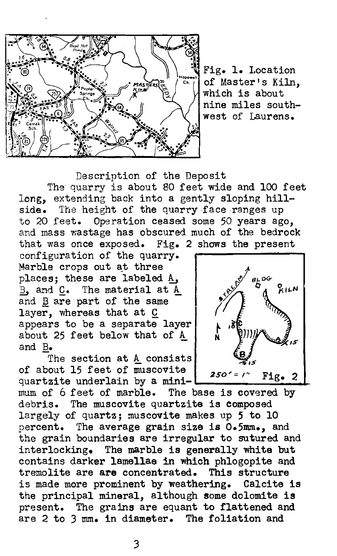

Fig. 1. Location of Master's Kiln, which is about nine miles southwest of Laurens.

Description of the Deposit The quarry is about 80 feet wide and 100 feet long, extending back into a gently sloping hillside. The height of the quarry face ranges up to 20 feet. Operation ceased some 50 years ago, and mass wastage has obscured much of the bedrock that was once exposed. Fig. 2 shows the present

configuration of the quarry. Marble crops out at three places; these are labeled A. B. and C. The material at A and B are part of the same layer, whereas that at  $C$  appears to be a separate layer about 25 feet below that of  $A$ and B.

The section at  $A$  consists of about 15 feet of muscovite  $250' = ?'.$  Fig. 2 quartzite underlain by a mini- $\vert$ mum of 6 feet of marble. The base is covered by debris. The muscovite quartzite is composed largely of quartz; muscovite makes up *5* to 10 percent. The average grain size is 0.5mm., and the grain boundaries are irregular to sutured and interlocking. The marble is generally white but contains darker lamellae in which phlogopite and tremolite are are concentrated. This structure is made more prominent by weathering. Calcite is the principal mineral, although some dolomite is present. The grains are equant to flattened and are 2 to 3 mm. in diameter. The foliation and

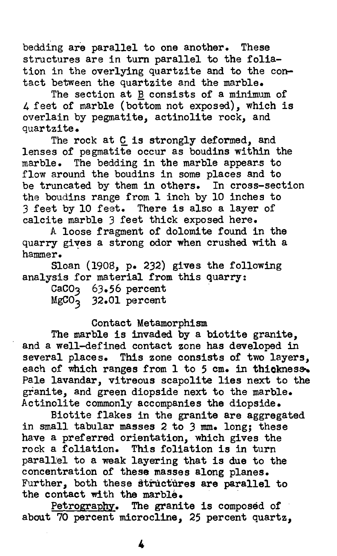bedding are parallel to one another. These structures are in turn parallel to the foliation in the overlying quartzite and to the contact between the quartzite and the marble.

The section at B consists of a minimum of 4 feet of marble (bottom not exposed), which is overlain by pegmatite, actinolite rock, and quartzite.

The rock at  $C$  is strongly deformed, and lenses of pegmatite occur as boudins within the marble. The bedding in the marble appears to flow around the boudins in some places and to be truncated by them in others. In cross-section the boudins range from 1 inch by 10 inches to 3 feet by 10 feet. There is also a layer of calcite marble 3 feet thick exposed here.

A loose fragment of dolomite found in the quarry gives a strong odor when crushed with a hammer.

Sloan (1908, P• 232) gives the following analysis for material from this quarry:

| CaCO3             | $63.56$ percent |
|-------------------|-----------------|
| MgCO <sub>3</sub> | 32.01 percent   |

### Contact Metamorphism

The marble is invaded by a biotite granite, and a well-defined contact zone has developed in several places. This zone consists of two layers, each of which ranges from  $1$  to  $5$  cm. in thickness. Pale lavandar, vitreous scapolite lies next to the granite, and green diopside next to the marble. Actinolite commonly accompanies the diopside.

Biotite flakes in the granite are aggregated in small tabular masses 2 to 3 mm. long; these have a preferred orientation, which gives the rock a foliation. This foliation is in turn parall'el to a weak layering that is due to the concentration of these masses along planes. Further, both these structures are parallel to the contact with the marble.

Petrography. The granite is composed of about 70 percent microcline, 25 percent quartz,

4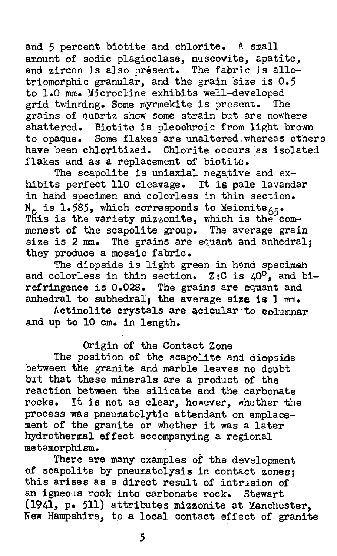and 5 percent biotite and chlorite. A small amount of sodic plagioclase, muscovite, apatite, and zircon is also present. The fabric is allotriomorphic granular, and the grain size is  $0.5$ to 1.0 mm. Microcline exhibits well-developed<br>grid twinning. Some myrmekite is present. The grid twinning. Some myrmekite is present. grains of quartz show some strain but are nowhere shattered. Biotite is pleochroic from light brown to opaque. Some flakes are unaltered.whereas others have been chloritized. Chlorite occurs as isolated flakes and as a replacement of biotite.

The scapolite is uniaxial negative and exhibits perfect 110 cleavage. It is pale lavandar in hand specimen and colorless in thin section. N<sub>O</sub> is l.585, which corresponds to Meionite<sub>65</sub>.<br>This is the variety mizzonite, which is the commonest of the scapolite group. The average grain size is 2 mm. The grains are equant and anhedral; they produce a mosaic fabric.

The diopside is light green in hand specimen and colorless in thin section. Z:C is 40°, and birefringence is 0.028. The grains are equant and anhedral to subhedral, the average size is  $1$  mm.

Actinolite crystals are acicular to columnar and up to 10 cm. in length.

# Origin of the Contact Zone

The position of the scapolite and diopside between the granite and marble leaves no doubt but that these minerals are a product of the reaction between the silicate and the carbonate rocks. It is not as clear, however, whether the process was pneumatolytic attendant on emplacement of the granite or whether it was a later hydrothermal effect accompanying a regional metamorphism.

There are many examples of the development of scapolite by pneumatolysis in contact zones; this arises as a direct result of intrusion of an igneous rock into carbonate rock. Stewart (1941, P• 511) attributes mizzonite at Manchester, New Hampshire, to a local contact effect of granite

*5*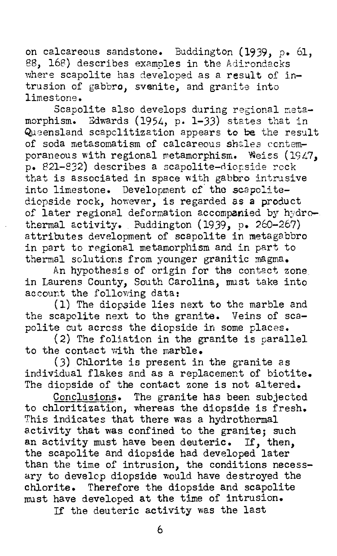on calcareous sandstone. Buddington  $(1939, p. 61,$ 88, 168) describes examples in the Adirondacks where scapolite has developed as a result of intrusion of gabbro, svenite, and granite into limestone.

Scapolite also develops during regional netamorphism. Edwards (1954, p. 1-33) states that in Queensland scapclitization appears to be the result of soda metasomatism of calcareous shales contemporaneous with regional metamorphism. Weiss (1947. p. 821-832) describes a scapolite-diorside rock that is associated in space with gabbro intrusive into limestone. Development of the scapolitediopside rock, however, is regarded as a product of later regional deformation accompanied by hydrothermal activity. Buddington (1939, p. 260-267) attributes development of scapolite in metagabbro in part to regional metamorphism and in part to thermal solutions from younger granitic magma.

An hypothesis of origin for the contact zone in Laurens County, South Carolina, must take into account the following data:

(1) The diopside lies next to the marble and the scapolite next to the granite. Veins of scapolite cut across the diopside in some places.

(2) The foliation in the granite is parallel to the contact with the marble.

(3) Chlorite is present in the granite as individual flakes and as a replacement of biotite. The diopside of the contact zone is not altered.

Conclusion§. The granite has been subjected to chloritization, whereas the diopside is fresh. This indicates that there was a hydrothermal activity that was confined to the granite; such an activity must have been deuteric. If, then, the scapolite and diopside had developed later than the time of intrusion, the conditions necessary to develop diopside would have destroyed the chlorite. Therefore the diopside and scapolite must have developed at the time of intrusion.

If the deuteric activity was the last